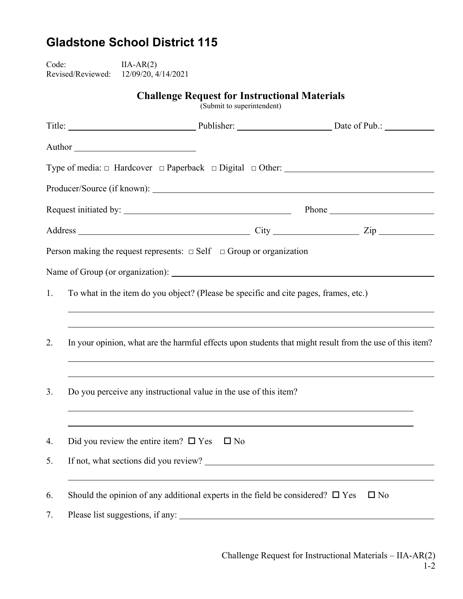## **Gladstone School District 115**

Code: IIA-AR(2) Revised/Reviewed: 12/09/20, 4/14/2021

**Challenge Request for Instructional Materials** 

(Submit to superintendent)

|                                                                                | Author                                                                                                   |              |              |  |  |  |
|--------------------------------------------------------------------------------|----------------------------------------------------------------------------------------------------------|--------------|--------------|--|--|--|
|                                                                                |                                                                                                          |              |              |  |  |  |
|                                                                                |                                                                                                          |              |              |  |  |  |
|                                                                                |                                                                                                          |              |              |  |  |  |
|                                                                                |                                                                                                          |              |              |  |  |  |
| Person making the request represents: $\Box$ Self $\Box$ Group or organization |                                                                                                          |              |              |  |  |  |
|                                                                                |                                                                                                          |              |              |  |  |  |
| 1.                                                                             | To what in the item do you object? (Please be specific and cite pages, frames, etc.)                     |              |              |  |  |  |
|                                                                                |                                                                                                          |              |              |  |  |  |
| 2.                                                                             | In your opinion, what are the harmful effects upon students that might result from the use of this item? |              |              |  |  |  |
|                                                                                |                                                                                                          |              |              |  |  |  |
| 3.                                                                             | Do you perceive any instructional value in the use of this item?                                         |              |              |  |  |  |
|                                                                                |                                                                                                          |              |              |  |  |  |
| 4.                                                                             | Did you review the entire item? $\square$ Yes                                                            | $\square$ No |              |  |  |  |
| 5.                                                                             | If not, what sections did you review?                                                                    |              |              |  |  |  |
|                                                                                |                                                                                                          |              |              |  |  |  |
| 6.                                                                             | Should the opinion of any additional experts in the field be considered? $\square$ Yes                   |              | $\square$ No |  |  |  |
| 7.                                                                             |                                                                                                          |              |              |  |  |  |